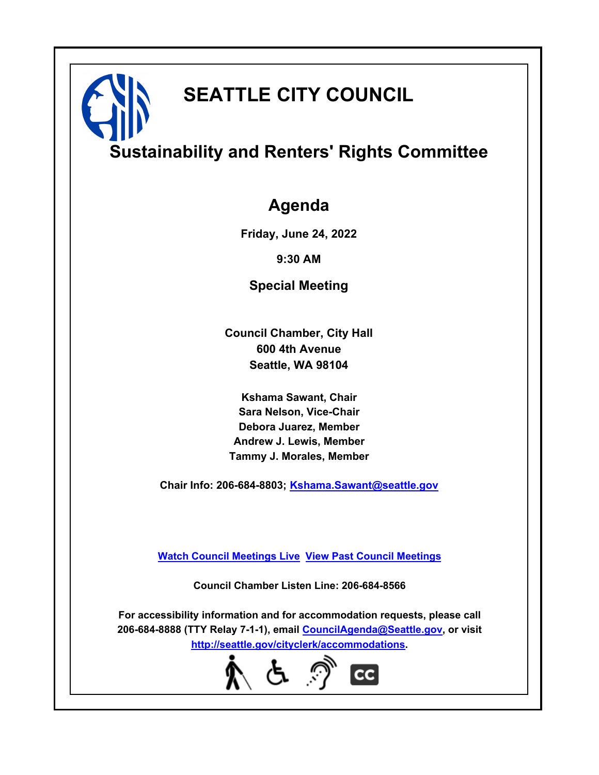# **SEATTLE CITY COUNCIL**

# **Sustainability and Renters' Rights Committee**

### **Agenda**

**Friday, June 24, 2022**

**9:30 AM**

**Special Meeting**

**Council Chamber, City Hall 600 4th Avenue Seattle, WA 98104**

**Kshama Sawant, Chair Sara Nelson, Vice-Chair Debora Juarez, Member Andrew J. Lewis, Member Tammy J. Morales, Member**

**Chair Info: 206-684-8803; [Kshama.Sawant@seattle.gov](mailto: Kshama.Sawant@seattle.gov)**

**[Watch Council Meetings Live](http://www.seattle.gov/council/councillive.htm) [View Past Council Meetings](http://www.seattlechannel.org/videos/browseVideos.asp?topic=council)**

**Council Chamber Listen Line: 206-684-8566**

**For accessibility information and for accommodation requests, please call 206-684-8888 (TTY Relay 7-1-1), email [CouncilAgenda@Seattle.gov](mailto: CouncilAgenda@Seattle.gov), or visit <http://seattle.gov/cityclerk/accommodations>.**

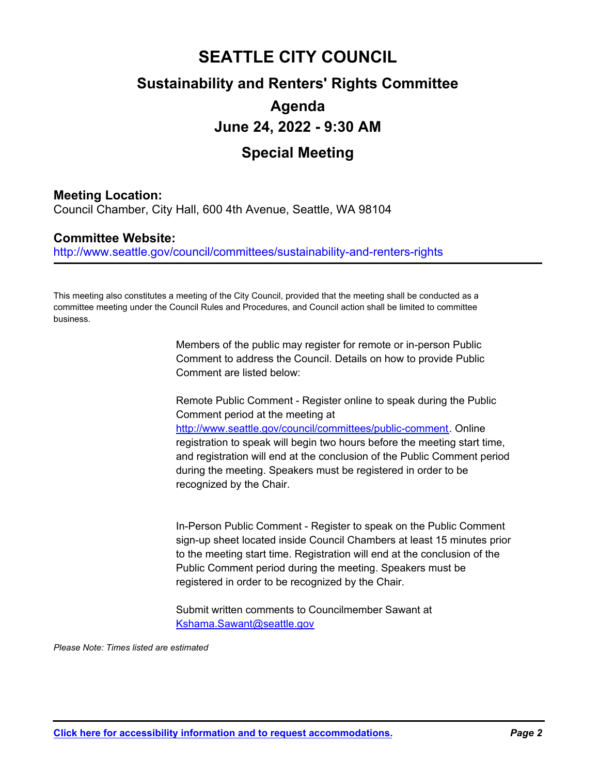## **SEATTLE CITY COUNCIL Sustainability and Renters' Rights Committee Agenda June 24, 2022 - 9:30 AM Special Meeting**

### **Meeting Location:**

Council Chamber, City Hall, 600 4th Avenue, Seattle, WA 98104

### **Committee Website:**

http://www.seattle.gov/council/committees/sustainability-and-renters-rights

This meeting also constitutes a meeting of the City Council, provided that the meeting shall be conducted as a committee meeting under the Council Rules and Procedures, and Council action shall be limited to committee business.

> Members of the public may register for remote or in-person Public Comment to address the Council. Details on how to provide Public Comment are listed below:

Remote Public Comment - Register online to speak during the Public Comment period at the meeting at http://www.seattle.gov/council/committees/public-comment. Online registration to speak will begin two hours before the meeting start time, and registration will end at the conclusion of the Public Comment period during the meeting. Speakers must be registered in order to be recognized by the Chair.

In-Person Public Comment - Register to speak on the Public Comment sign-up sheet located inside Council Chambers at least 15 minutes prior to the meeting start time. Registration will end at the conclusion of the Public Comment period during the meeting. Speakers must be registered in order to be recognized by the Chair.

Submit written comments to Councilmember Sawant at Kshama.Sawant@seattle.gov

*Please Note: Times listed are estimated*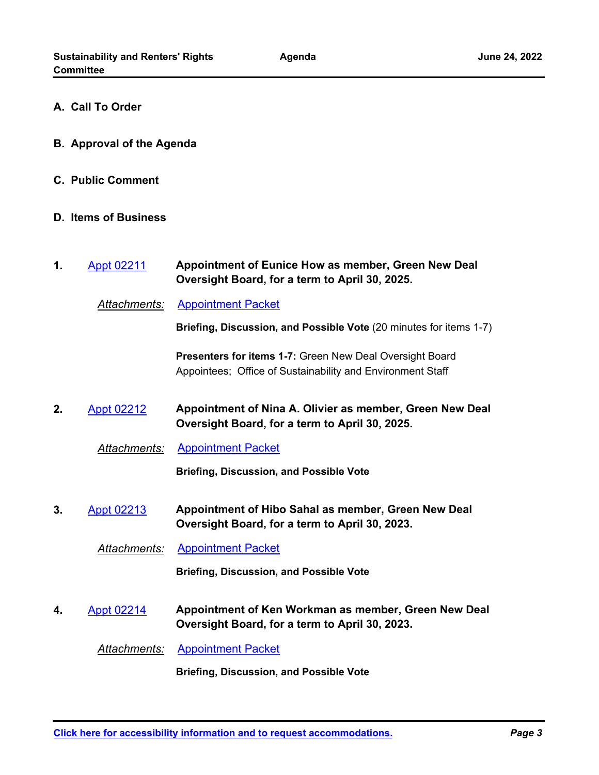- **A. Call To Order**
- **B. Approval of the Agenda**
- **C. Public Comment**
- **D. Items of Business**
- **Appointment of Eunice How as member, Green New Deal Oversight Board, for a term to April 30, 2025. 1.** [Appt 02211](http://seattle.legistar.com/gateway.aspx?m=l&id=/matter.aspx?key=12899)
	- *Attachments:* [Appointment Packet](http://seattle.legistar.com/gateway.aspx?M=F&ID=18a90a12-5505-402b-8bc5-80f94b6f42c6.pdf)

**Briefing, Discussion, and Possible Vote** (20 minutes for items 1-7)

**Presenters for items 1-7:** Green New Deal Oversight Board Appointees; Office of Sustainability and Environment Staff

- **Appointment of Nina A. Olivier as member, Green New Deal Oversight Board, for a term to April 30, 2025. 2.** [Appt 02212](http://seattle.legistar.com/gateway.aspx?m=l&id=/matter.aspx?key=12900)
	- *Attachments:* [Appointment Packet](http://seattle.legistar.com/gateway.aspx?M=F&ID=5a0fc944-3137-4441-894a-da165abc8ed6.pdf)

**Briefing, Discussion, and Possible Vote**

**Appointment of Hibo Sahal as member, Green New Deal Oversight Board, for a term to April 30, 2023. 3.** [Appt 02213](http://seattle.legistar.com/gateway.aspx?m=l&id=/matter.aspx?key=12901)

*Attachments:* [Appointment Packet](http://seattle.legistar.com/gateway.aspx?M=F&ID=c581d376-0c99-4f67-b3e0-8ad3eeb37848.pdf)

**Briefing, Discussion, and Possible Vote**

**Appointment of Ken Workman as member, Green New Deal Oversight Board, for a term to April 30, 2023. 4.** [Appt 02214](http://seattle.legistar.com/gateway.aspx?m=l&id=/matter.aspx?key=12902)

*Attachments:* [Appointment Packet](http://seattle.legistar.com/gateway.aspx?M=F&ID=5c64c7bb-069f-4691-a2ad-5d3c7b75f4f3.pdf)

**Briefing, Discussion, and Possible Vote**